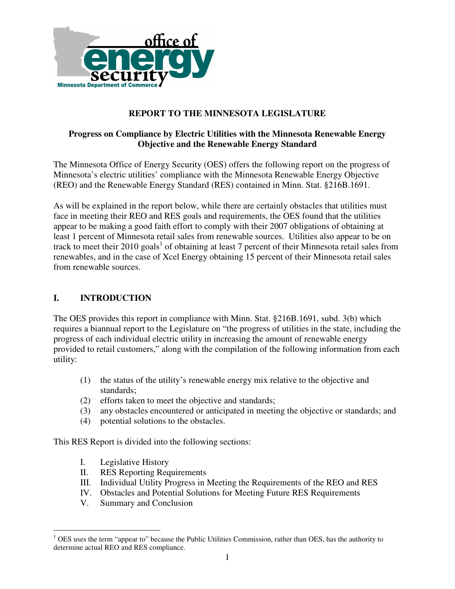

### **REPORT TO THE MINNESOTA LEGISLATURE**

#### **Progress on Compliance by Electric Utilities with the Minnesota Renewable Energy Objective and the Renewable Energy Standard**

The Minnesota Office of Energy Security (OES) offers the following report on the progress of Minnesota's electric utilities' compliance with the Minnesota Renewable Energy Objective (REO) and the Renewable Energy Standard (RES) contained in Minn. Stat. §216B.1691.

As will be explained in the report below, while there are certainly obstacles that utilities must face in meeting their REO and RES goals and requirements, the OES found that the utilities appear to be making a good faith effort to comply with their 2007 obligations of obtaining at least 1 percent of Minnesota retail sales from renewable sources. Utilities also appear to be on track to meet their 2010 goals<sup>1</sup> of obtaining at least 7 percent of their Minnesota retail sales from renewables, and in the case of Xcel Energy obtaining 15 percent of their Minnesota retail sales from renewable sources.

#### **I. INTRODUCTION**

The OES provides this report in compliance with Minn. Stat. §216B.1691, subd. 3(b) which requires a biannual report to the Legislature on "the progress of utilities in the state, including the progress of each individual electric utility in increasing the amount of renewable energy provided to retail customers," along with the compilation of the following information from each utility:

- (1) the status of the utility's renewable energy mix relative to the objective and standards;
- (2) efforts taken to meet the objective and standards;
- (3) any obstacles encountered or anticipated in meeting the objective or standards; and
- (4) potential solutions to the obstacles.

This RES Report is divided into the following sections:

I. Legislative History

- II. RES Reporting Requirements
- III. Individual Utility Progress in Meeting the Requirements of the REO and RES
- IV. Obstacles and Potential Solutions for Meeting Future RES Requirements
- V. Summary and Conclusion

 $1$  OES uses the term "appear to" because the Public Utilities Commission, rather than OES, has the authority to determine actual REO and RES compliance.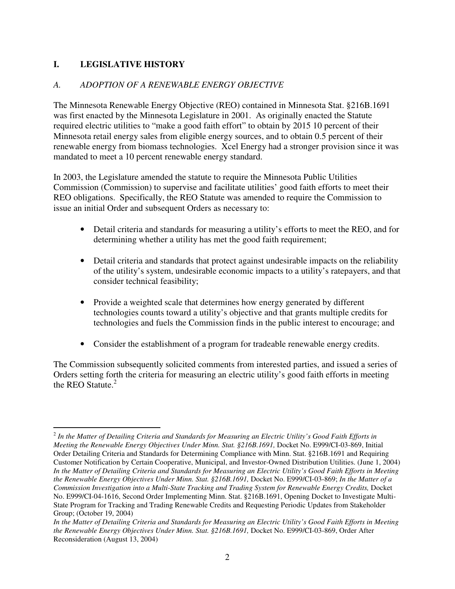### **I. LEGISLATIVE HISTORY**

 $\overline{a}$ 

#### *A. ADOPTION OF A RENEWABLE ENERGY OBJECTIVE*

The Minnesota Renewable Energy Objective (REO) contained in Minnesota Stat. §216B.1691 was first enacted by the Minnesota Legislature in 2001. As originally enacted the Statute required electric utilities to "make a good faith effort" to obtain by 2015 10 percent of their Minnesota retail energy sales from eligible energy sources, and to obtain 0.5 percent of their renewable energy from biomass technologies. Xcel Energy had a stronger provision since it was mandated to meet a 10 percent renewable energy standard.

In 2003, the Legislature amended the statute to require the Minnesota Public Utilities Commission (Commission) to supervise and facilitate utilities' good faith efforts to meet their REO obligations. Specifically, the REO Statute was amended to require the Commission to issue an initial Order and subsequent Orders as necessary to:

- Detail criteria and standards for measuring a utility's efforts to meet the REO, and for determining whether a utility has met the good faith requirement;
- Detail criteria and standards that protect against undesirable impacts on the reliability of the utility's system, undesirable economic impacts to a utility's ratepayers, and that consider technical feasibility;
- Provide a weighted scale that determines how energy generated by different technologies counts toward a utility's objective and that grants multiple credits for technologies and fuels the Commission finds in the public interest to encourage; and
- Consider the establishment of a program for tradeable renewable energy credits.

The Commission subsequently solicited comments from interested parties, and issued a series of Orders setting forth the criteria for measuring an electric utility's good faith efforts in meeting the REO Statute. $2$ 

<sup>2</sup> *In the Matter of Detailing Criteria and Standards for Measuring an Electric Utility's Good Faith Efforts in Meeting the Renewable Energy Objectives Under Minn. Stat. §216B.1691,* Docket No. E999/CI-03-869, Initial Order Detailing Criteria and Standards for Determining Compliance with Minn. Stat. §216B.1691 and Requiring Customer Notification by Certain Cooperative, Municipal, and Investor-Owned Distribution Utilities. (June 1, 2004) *In the Matter of Detailing Criteria and Standards for Measuring an Electric Utility's Good Faith Efforts in Meeting the Renewable Energy Objectives Under Minn. Stat. §216B.1691,* Docket No. E999/CI-03-869; *In the Matter of a Commission Investigation into a Multi-State Tracking and Trading System for Renewable Energy Credits,* Docket No. E999/CI-04-1616, Second Order Implementing Minn. Stat. §216B.1691, Opening Docket to Investigate Multi-State Program for Tracking and Trading Renewable Credits and Requesting Periodic Updates from Stakeholder Group; (October 19, 2004)

*In the Matter of Detailing Criteria and Standards for Measuring an Electric Utility's Good Faith Efforts in Meeting the Renewable Energy Objectives Under Minn. Stat. §216B.1691,* Docket No. E999/CI-03-869, Order After Reconsideration (August 13, 2004)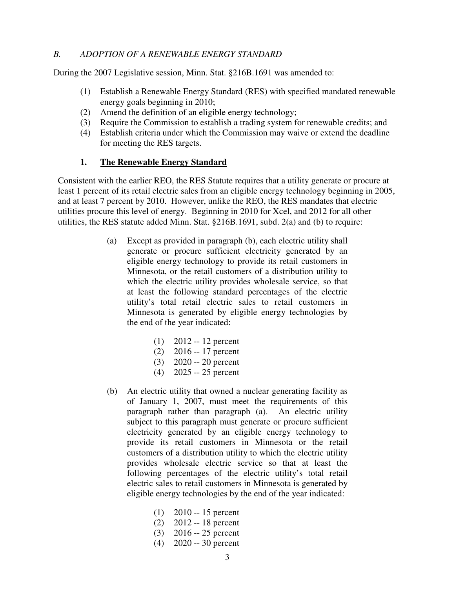#### *B. ADOPTION OF A RENEWABLE ENERGY STANDARD*

During the 2007 Legislative session, Minn. Stat. §216B.1691 was amended to:

- (1) Establish a Renewable Energy Standard (RES) with specified mandated renewable energy goals beginning in 2010;
- (2) Amend the definition of an eligible energy technology;
- (3) Require the Commission to establish a trading system for renewable credits; and
- (4) Establish criteria under which the Commission may waive or extend the deadline for meeting the RES targets.

#### **1. The Renewable Energy Standard**

Consistent with the earlier REO, the RES Statute requires that a utility generate or procure at least 1 percent of its retail electric sales from an eligible energy technology beginning in 2005, and at least 7 percent by 2010. However, unlike the REO, the RES mandates that electric utilities procure this level of energy. Beginning in 2010 for Xcel, and 2012 for all other utilities, the RES statute added Minn. Stat. §216B.1691, subd. 2(a) and (b) to require:

- (a) Except as provided in paragraph (b), each electric utility shall generate or procure sufficient electricity generated by an eligible energy technology to provide its retail customers in Minnesota, or the retail customers of a distribution utility to which the electric utility provides wholesale service, so that at least the following standard percentages of the electric utility's total retail electric sales to retail customers in Minnesota is generated by eligible energy technologies by the end of the year indicated:
	- (1) 2012 -- 12 percent
	- (2) 2016 -- 17 percent
	- (3) 2020 -- 20 percent
	- (4) 2025 -- 25 percent
- (b) An electric utility that owned a nuclear generating facility as of January 1, 2007, must meet the requirements of this paragraph rather than paragraph (a). An electric utility subject to this paragraph must generate or procure sufficient electricity generated by an eligible energy technology to provide its retail customers in Minnesota or the retail customers of a distribution utility to which the electric utility provides wholesale electric service so that at least the following percentages of the electric utility's total retail electric sales to retail customers in Minnesota is generated by eligible energy technologies by the end of the year indicated:
	- (1) 2010 -- 15 percent
	- $(2)$  2012 -- 18 percent
	- (3) 2016 -- 25 percent
	- (4) 2020 -- 30 percent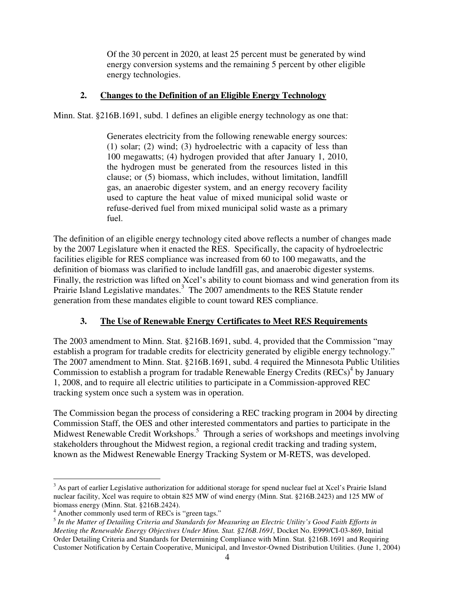Of the 30 percent in 2020, at least 25 percent must be generated by wind energy conversion systems and the remaining 5 percent by other eligible energy technologies.

### **2. Changes to the Definition of an Eligible Energy Technology**

Minn. Stat. §216B.1691, subd. 1 defines an eligible energy technology as one that:

Generates electricity from the following renewable energy sources: (1) solar; (2) wind; (3) hydroelectric with a capacity of less than 100 megawatts; (4) hydrogen provided that after January 1, 2010, the hydrogen must be generated from the resources listed in this clause; or (5) biomass, which includes, without limitation, landfill gas, an anaerobic digester system, and an energy recovery facility used to capture the heat value of mixed municipal solid waste or refuse-derived fuel from mixed municipal solid waste as a primary fuel.

The definition of an eligible energy technology cited above reflects a number of changes made by the 2007 Legislature when it enacted the RES. Specifically, the capacity of hydroelectric facilities eligible for RES compliance was increased from 60 to 100 megawatts, and the definition of biomass was clarified to include landfill gas, and anaerobic digester systems. Finally, the restriction was lifted on Xcel's ability to count biomass and wind generation from its Prairie Island Legislative mandates.<sup>3</sup> The 2007 amendments to the RES Statute render generation from these mandates eligible to count toward RES compliance.

## **3. The Use of Renewable Energy Certificates to Meet RES Requirements**

The 2003 amendment to Minn. Stat. §216B.1691, subd. 4, provided that the Commission "may establish a program for tradable credits for electricity generated by eligible energy technology." The 2007 amendment to Minn. Stat. §216B.1691, subd. 4 required the Minnesota Public Utilities Commission to establish a program for tradable Renewable Energy Credits (RECs)<sup>4</sup> by January 1, 2008, and to require all electric utilities to participate in a Commission-approved REC tracking system once such a system was in operation.

The Commission began the process of considering a REC tracking program in 2004 by directing Commission Staff, the OES and other interested commentators and parties to participate in the Midwest Renewable Credit Workshops.<sup>5</sup> Through a series of workshops and meetings involving stakeholders throughout the Midwest region, a regional credit tracking and trading system, known as the Midwest Renewable Energy Tracking System or M-RETS, was developed.

 $3$  As part of earlier Legislative authorization for additional storage for spend nuclear fuel at Xcel's Prairie Island nuclear facility, Xcel was require to obtain 825 MW of wind energy (Minn. Stat. §216B.2423) and 125 MW of biomass energy (Minn. Stat. §216B.2424).

<sup>4</sup> Another commonly used term of RECs is "green tags."

<sup>5</sup> *In the Matter of Detailing Criteria and Standards for Measuring an Electric Utility's Good Faith Efforts in Meeting the Renewable Energy Objectives Under Minn. Stat. §216B.1691,* Docket No. E999/CI-03-869, Initial Order Detailing Criteria and Standards for Determining Compliance with Minn. Stat. §216B.1691 and Requiring Customer Notification by Certain Cooperative, Municipal, and Investor-Owned Distribution Utilities. (June 1, 2004)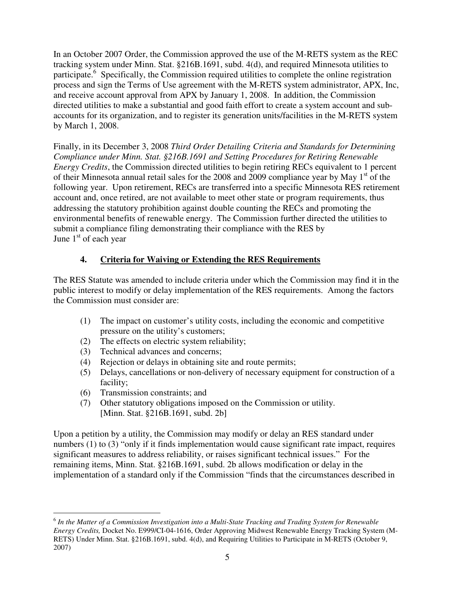In an October 2007 Order, the Commission approved the use of the M-RETS system as the REC tracking system under Minn. Stat. §216B.1691, subd. 4(d), and required Minnesota utilities to participate.<sup>6</sup> Specifically, the Commission required utilities to complete the online registration process and sign the Terms of Use agreement with the M-RETS system administrator, APX, Inc, and receive account approval from APX by January 1, 2008. In addition, the Commission directed utilities to make a substantial and good faith effort to create a system account and subaccounts for its organization, and to register its generation units/facilities in the M-RETS system by March 1, 2008.

Finally, in its December 3, 2008 *Third Order Detailing Criteria and Standards for Determining Compliance under Minn. Stat. §216B.1691 and Setting Procedures for Retiring Renewable Energy Credits*, the Commission directed utilities to begin retiring RECs equivalent to 1 percent of their Minnesota annual retail sales for the 2008 and 2009 compliance year by May  $1<sup>st</sup>$  of the following year. Upon retirement, RECs are transferred into a specific Minnesota RES retirement account and, once retired, are not available to meet other state or program requirements, thus addressing the statutory prohibition against double counting the RECs and promoting the environmental benefits of renewable energy. The Commission further directed the utilities to submit a compliance filing demonstrating their compliance with the RES by June  $1<sup>st</sup>$  of each year

## **4. Criteria for Waiving or Extending the RES Requirements**

The RES Statute was amended to include criteria under which the Commission may find it in the public interest to modify or delay implementation of the RES requirements. Among the factors the Commission must consider are:

- (1) The impact on customer's utility costs, including the economic and competitive pressure on the utility's customers;
- (2) The effects on electric system reliability;
- (3) Technical advances and concerns;
- (4) Rejection or delays in obtaining site and route permits;
- (5) Delays, cancellations or non-delivery of necessary equipment for construction of a facility;
- (6) Transmission constraints; and

 $\overline{a}$ 

(7) Other statutory obligations imposed on the Commission or utility. [Minn. Stat. §216B.1691, subd. 2b]

Upon a petition by a utility, the Commission may modify or delay an RES standard under numbers (1) to (3) "only if it finds implementation would cause significant rate impact, requires significant measures to address reliability, or raises significant technical issues." For the remaining items, Minn. Stat. §216B.1691, subd. 2b allows modification or delay in the implementation of a standard only if the Commission "finds that the circumstances described in

<sup>6</sup> *In the Matter of a Commission Investigation into a Multi-State Tracking and Trading System for Renewable Energy Credits,* Docket No. E999/CI-04-1616, Order Approving Midwest Renewable Energy Tracking System (M-RETS) Under Minn. Stat. §216B.1691, subd. 4(d), and Requiring Utilities to Participate in M-RETS (October 9, 2007)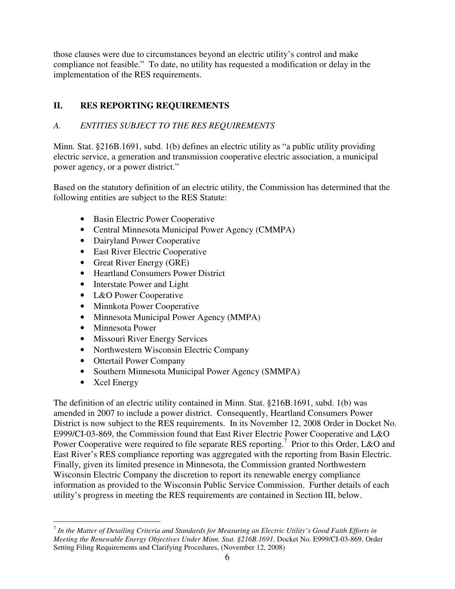those clauses were due to circumstances beyond an electric utility's control and make compliance not feasible." To date, no utility has requested a modification or delay in the implementation of the RES requirements.

## **II. RES REPORTING REQUIREMENTS**

## *A. ENTITIES SUBJECT TO THE RES REQUIREMENTS*

Minn. Stat. §216B.1691, subd. 1(b) defines an electric utility as "a public utility providing electric service, a generation and transmission cooperative electric association, a municipal power agency, or a power district."

Based on the statutory definition of an electric utility, the Commission has determined that the following entities are subject to the RES Statute:

- Basin Electric Power Cooperative
- Central Minnesota Municipal Power Agency (CMMPA)
- Dairyland Power Cooperative
- East River Electric Cooperative
- Great River Energy (GRE)
- Heartland Consumers Power District
- Interstate Power and Light
- L&O Power Cooperative
- Minnkota Power Cooperative
- Minnesota Municipal Power Agency (MMPA)
- Minnesota Power
- Missouri River Energy Services
- Northwestern Wisconsin Electric Company
- Ottertail Power Company
- Southern Minnesota Municipal Power Agency (SMMPA)
- Xcel Energy

 $\overline{a}$ 

The definition of an electric utility contained in Minn. Stat. §216B.1691, subd. 1(b) was amended in 2007 to include a power district. Consequently, Heartland Consumers Power District is now subject to the RES requirements. In its November 12, 2008 Order in Docket No. E999/CI-03-869, the Commission found that East River Electric Power Cooperative and L&O Power Cooperative were required to file separate RES reporting.<sup>7</sup> Prior to this Order, L&O and East River's RES compliance reporting was aggregated with the reporting from Basin Electric. Finally, given its limited presence in Minnesota, the Commission granted Northwestern Wisconsin Electric Company the discretion to report its renewable energy compliance information as provided to the Wisconsin Public Service Commission. Further details of each utility's progress in meeting the RES requirements are contained in Section III, below.

<sup>7</sup> *In the Matter of Detailing Criteria and Standards for Measuring an Electric Utility's Good Faith Efforts in Meeting the Renewable Energy Objectives Under Minn. Stat. §216B.1691,* Docket No. E999/CI-03-869, Order Setting Filing Requirements and Clarifying Procedures, (November 12, 2008)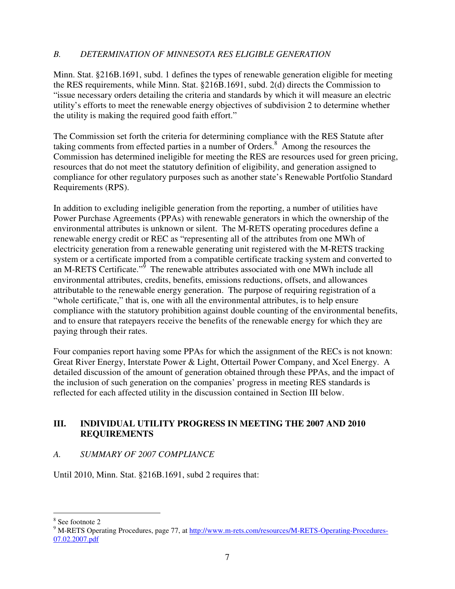### *B. DETERMINATION OF MINNESOTA RES ELIGIBLE GENERATION*

Minn. Stat. §216B.1691, subd. 1 defines the types of renewable generation eligible for meeting the RES requirements, while Minn. Stat. §216B.1691, subd. 2(d) directs the Commission to "issue necessary orders detailing the criteria and standards by which it will measure an electric utility's efforts to meet the renewable energy objectives of subdivision 2 to determine whether the utility is making the required good faith effort."

The Commission set forth the criteria for determining compliance with the RES Statute after taking comments from effected parties in a number of Orders.<sup>8</sup> Among the resources the Commission has determined ineligible for meeting the RES are resources used for green pricing, resources that do not meet the statutory definition of eligibility, and generation assigned to compliance for other regulatory purposes such as another state's Renewable Portfolio Standard Requirements (RPS).

In addition to excluding ineligible generation from the reporting, a number of utilities have Power Purchase Agreements (PPAs) with renewable generators in which the ownership of the environmental attributes is unknown or silent. The M-RETS operating procedures define a renewable energy credit or REC as "representing all of the attributes from one MWh of electricity generation from a renewable generating unit registered with the M-RETS tracking system or a certificate imported from a compatible certificate tracking system and converted to an M-RETS Certificate."<sup>9</sup> The renewable attributes associated with one MWh include all environmental attributes, credits, benefits, emissions reductions, offsets, and allowances attributable to the renewable energy generation. The purpose of requiring registration of a "whole certificate," that is, one with all the environmental attributes, is to help ensure compliance with the statutory prohibition against double counting of the environmental benefits, and to ensure that ratepayers receive the benefits of the renewable energy for which they are paying through their rates.

Four companies report having some PPAs for which the assignment of the RECs is not known: Great River Energy, Interstate Power & Light, Ottertail Power Company, and Xcel Energy. A detailed discussion of the amount of generation obtained through these PPAs, and the impact of the inclusion of such generation on the companies' progress in meeting RES standards is reflected for each affected utility in the discussion contained in Section III below.

#### **III. INDIVIDUAL UTILITY PROGRESS IN MEETING THE 2007 AND 2010 REQUIREMENTS**

#### *A. SUMMARY OF 2007 COMPLIANCE*

Until 2010, Minn. Stat. §216B.1691, subd 2 requires that:

<sup>8</sup> See footnote 2

<sup>&</sup>lt;sup>9</sup> M-RETS Operating Procedures, page 77, at http://www.m-rets.com/resources/M-RETS-Operating-Procedures-07.02.2007.pdf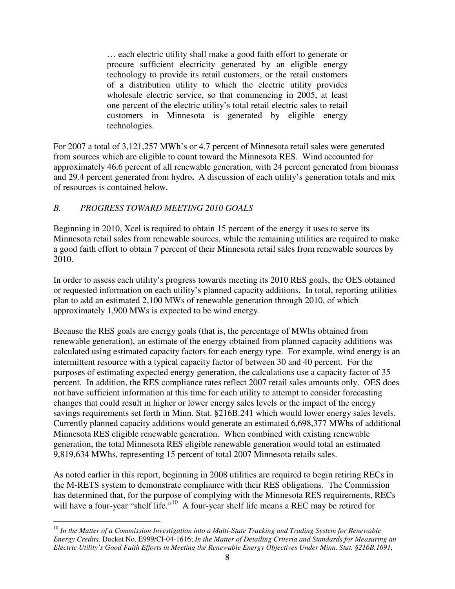… each electric utility shall make a good faith effort to generate or procure sufficient electricity generated by an eligible energy technology to provide its retail customers, or the retail customers of a distribution utility to which the electric utility provides wholesale electric service, so that commencing in 2005, at least one percent of the electric utility's total retail electric sales to retail customers in Minnesota is generated by eligible energy technologies.

For 2007 a total of 3,121,257 MWh's or 4.7 percent of Minnesota retail sales were generated from sources which are eligible to count toward the Minnesota RES. Wind accounted for approximately 46.6 percent of all renewable generation, with 24 percent generated from biomass and 29.4 percent generated from hydro**.** A discussion of each utility's generation totals and mix of resources is contained below.

#### *B. PROGRESS TOWARD MEETING 2010 GOALS*

 $\overline{a}$ 

Beginning in 2010, Xcel is required to obtain 15 percent of the energy it uses to serve its Minnesota retail sales from renewable sources, while the remaining utilities are required to make a good faith effort to obtain 7 percent of their Minnesota retail sales from renewable sources by 2010.

In order to assess each utility's progress towards meeting its 2010 RES goals, the OES obtained or requested information on each utility's planned capacity additions. In total, reporting utilities plan to add an estimated 2,100 MWs of renewable generation through 2010, of which approximately 1,900 MWs is expected to be wind energy.

Because the RES goals are energy goals (that is, the percentage of MWhs obtained from renewable generation), an estimate of the energy obtained from planned capacity additions was calculated using estimated capacity factors for each energy type. For example, wind energy is an intermittent resource with a typical capacity factor of between 30 and 40 percent. For the purposes of estimating expected energy generation, the calculations use a capacity factor of 35 percent. In addition, the RES compliance rates reflect 2007 retail sales amounts only. OES does not have sufficient information at this time for each utility to attempt to consider forecasting changes that could result in higher or lower energy sales levels or the impact of the energy savings requirements set forth in Minn. Stat. §216B.241 which would lower energy sales levels. Currently planned capacity additions would generate an estimated 6,698,377 MWhs of additional Minnesota RES eligible renewable generation. When combined with existing renewable generation, the total Minnesota RES eligible renewable generation would total an estimated 9,819,634 MWhs, representing 15 percent of total 2007 Minnesota retails sales.

As noted earlier in this report, beginning in 2008 utilities are required to begin retiring RECs in the M-RETS system to demonstrate compliance with their RES obligations. The Commission has determined that, for the purpose of complying with the Minnesota RES requirements, RECs will have a four-year "shelf life."<sup>10</sup> A four-year shelf life means a REC may be retired for

<sup>&</sup>lt;sup>10</sup> In the Matter of a Commission Investigation into a Multi-State Tracking and Trading System for Renewable *Energy Credits,* Docket No. E999/CI-04-1616; *In the Matter of Detailing Criteria and Standards for Measuring an Electric Utility's Good Faith Efforts in Meeting the Renewable Energy Objectives Under Minn. Stat. §216B.1691,*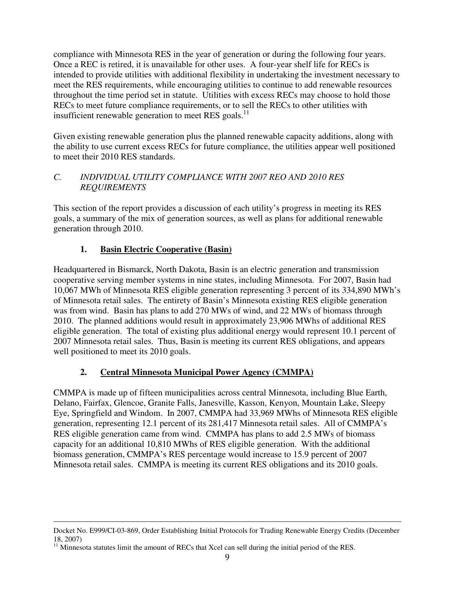compliance with Minnesota RES in the year of generation or during the following four years. Once a REC is retired, it is unavailable for other uses. A four-year shelf life for RECs is intended to provide utilities with additional flexibility in undertaking the investment necessary to meet the RES requirements, while encouraging utilities to continue to add renewable resources throughout the time period set in statute. Utilities with excess RECs may choose to hold those RECs to meet future compliance requirements, or to sell the RECs to other utilities with insufficient renewable generation to meet RES goals. $^{11}$ 

Given existing renewable generation plus the planned renewable capacity additions, along with the ability to use current excess RECs for future compliance, the utilities appear well positioned to meet their 2010 RES standards.

### *C. INDIVIDUAL UTILITY COMPLIANCE WITH 2007 REO AND 2010 RES REQUIREMENTS*

This section of the report provides a discussion of each utility's progress in meeting its RES goals, a summary of the mix of generation sources, as well as plans for additional renewable generation through 2010.

## **1. Basin Electric Cooperative (Basin)**

Headquartered in Bismarck, North Dakota, Basin is an electric generation and transmission cooperative serving member systems in nine states, including Minnesota. For 2007, Basin had 10,067 MWh of Minnesota RES eligible generation representing 3 percent of its 334,890 MWh's of Minnesota retail sales. The entirety of Basin's Minnesota existing RES eligible generation was from wind. Basin has plans to add 270 MWs of wind, and 22 MWs of biomass through 2010. The planned additions would result in approximately 23,906 MWhs of additional RES eligible generation. The total of existing plus additional energy would represent 10.1 percent of 2007 Minnesota retail sales. Thus, Basin is meeting its current RES obligations, and appears well positioned to meet its 2010 goals.

## **2. Central Minnesota Municipal Power Agency (CMMPA)**

CMMPA is made up of fifteen municipalities across central Minnesota, including Blue Earth, Delano, Fairfax, Glencoe, Granite Falls, Janesville, Kasson, Kenyon, Mountain Lake, Sleepy Eye, Springfield and Windom. In 2007, CMMPA had 33,969 MWhs of Minnesota RES eligible generation, representing 12.1 percent of its 281,417 Minnesota retail sales. All of CMMPA's RES eligible generation came from wind. CMMPA has plans to add 2.5 MWs of biomass capacity for an additional 10,810 MWhs of RES eligible generation. With the additional biomass generation, CMMPA's RES percentage would increase to 15.9 percent of 2007 Minnesota retail sales. CMMPA is meeting its current RES obligations and its 2010 goals.

Docket No. E999/CI-03-869, Order Establishing Initial Protocols for Trading Renewable Energy Credits (December 18, 2007)

 $11$  Minnesota statutes limit the amount of RECs that Xcel can sell during the initial period of the RES.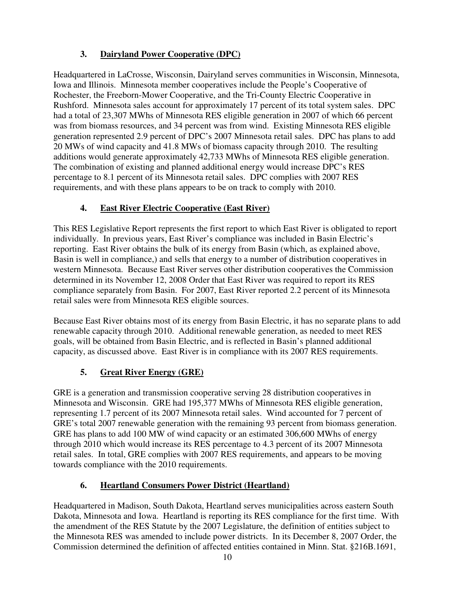# **3. Dairyland Power Cooperative (DPC)**

Headquartered in LaCrosse, Wisconsin, Dairyland serves communities in Wisconsin, Minnesota, Iowa and Illinois. Minnesota member cooperatives include the People's Cooperative of Rochester, the Freeborn-Mower Cooperative, and the Tri-County Electric Cooperative in Rushford. Minnesota sales account for approximately 17 percent of its total system sales. DPC had a total of 23,307 MWhs of Minnesota RES eligible generation in 2007 of which 66 percent was from biomass resources, and 34 percent was from wind. Existing Minnesota RES eligible generation represented 2.9 percent of DPC's 2007 Minnesota retail sales. DPC has plans to add 20 MWs of wind capacity and 41.8 MWs of biomass capacity through 2010. The resulting additions would generate approximately 42,733 MWhs of Minnesota RES eligible generation. The combination of existing and planned additional energy would increase DPC's RES percentage to 8.1 percent of its Minnesota retail sales. DPC complies with 2007 RES requirements, and with these plans appears to be on track to comply with 2010.

# **4. East River Electric Cooperative (East River)**

This RES Legislative Report represents the first report to which East River is obligated to report individually. In previous years, East River's compliance was included in Basin Electric's reporting. East River obtains the bulk of its energy from Basin (which, as explained above, Basin is well in compliance,) and sells that energy to a number of distribution cooperatives in western Minnesota. Because East River serves other distribution cooperatives the Commission determined in its November 12, 2008 Order that East River was required to report its RES compliance separately from Basin. For 2007, East River reported 2.2 percent of its Minnesota retail sales were from Minnesota RES eligible sources.

Because East River obtains most of its energy from Basin Electric, it has no separate plans to add renewable capacity through 2010. Additional renewable generation, as needed to meet RES goals, will be obtained from Basin Electric, and is reflected in Basin's planned additional capacity, as discussed above. East River is in compliance with its 2007 RES requirements.

# **5. Great River Energy (GRE)**

GRE is a generation and transmission cooperative serving 28 distribution cooperatives in Minnesota and Wisconsin. GRE had 195,377 MWhs of Minnesota RES eligible generation, representing 1.7 percent of its 2007 Minnesota retail sales. Wind accounted for 7 percent of GRE's total 2007 renewable generation with the remaining 93 percent from biomass generation. GRE has plans to add 100 MW of wind capacity or an estimated 306,600 MWhs of energy through 2010 which would increase its RES percentage to 4.3 percent of its 2007 Minnesota retail sales. In total, GRE complies with 2007 RES requirements, and appears to be moving towards compliance with the 2010 requirements.

# **6. Heartland Consumers Power District (Heartland)**

Headquartered in Madison, South Dakota, Heartland serves municipalities across eastern South Dakota, Minnesota and Iowa. Heartland is reporting its RES compliance for the first time. With the amendment of the RES Statute by the 2007 Legislature, the definition of entities subject to the Minnesota RES was amended to include power districts. In its December 8, 2007 Order, the Commission determined the definition of affected entities contained in Minn. Stat. §216B.1691,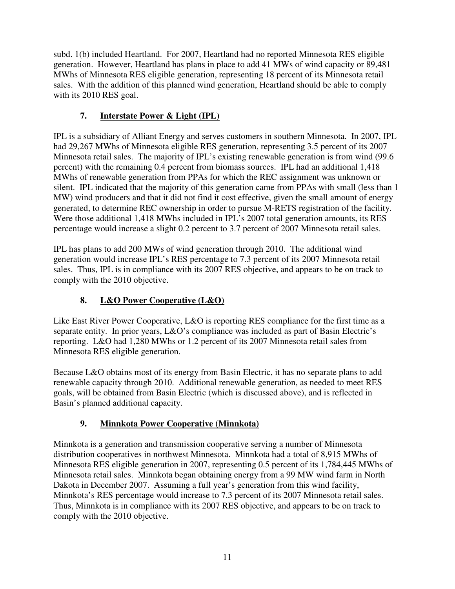subd. 1(b) included Heartland. For 2007, Heartland had no reported Minnesota RES eligible generation. However, Heartland has plans in place to add 41 MWs of wind capacity or 89,481 MWhs of Minnesota RES eligible generation, representing 18 percent of its Minnesota retail sales. With the addition of this planned wind generation, Heartland should be able to comply with its 2010 RES goal.

# **7. Interstate Power & Light (IPL)**

IPL is a subsidiary of Alliant Energy and serves customers in southern Minnesota. In 2007, IPL had 29,267 MWhs of Minnesota eligible RES generation, representing 3.5 percent of its 2007 Minnesota retail sales. The majority of IPL's existing renewable generation is from wind (99.6 percent) with the remaining 0.4 percent from biomass sources. IPL had an additional 1,418 MWhs of renewable generation from PPAs for which the REC assignment was unknown or silent. IPL indicated that the majority of this generation came from PPAs with small (less than 1 MW) wind producers and that it did not find it cost effective, given the small amount of energy generated, to determine REC ownership in order to pursue M-RETS registration of the facility. Were those additional 1,418 MWhs included in IPL's 2007 total generation amounts, its RES percentage would increase a slight 0.2 percent to 3.7 percent of 2007 Minnesota retail sales.

IPL has plans to add 200 MWs of wind generation through 2010. The additional wind generation would increase IPL's RES percentage to 7.3 percent of its 2007 Minnesota retail sales. Thus, IPL is in compliance with its 2007 RES objective, and appears to be on track to comply with the 2010 objective.

# **8. L&O Power Cooperative (L&O)**

Like East River Power Cooperative, L&O is reporting RES compliance for the first time as a separate entity. In prior years, L&O's compliance was included as part of Basin Electric's reporting. L&O had 1,280 MWhs or 1.2 percent of its 2007 Minnesota retail sales from Minnesota RES eligible generation.

Because L&O obtains most of its energy from Basin Electric, it has no separate plans to add renewable capacity through 2010. Additional renewable generation, as needed to meet RES goals, will be obtained from Basin Electric (which is discussed above), and is reflected in Basin's planned additional capacity.

# **9. Minnkota Power Cooperative (Minnkota)**

Minnkota is a generation and transmission cooperative serving a number of Minnesota distribution cooperatives in northwest Minnesota. Minnkota had a total of 8,915 MWhs of Minnesota RES eligible generation in 2007, representing 0.5 percent of its 1,784,445 MWhs of Minnesota retail sales. Minnkota began obtaining energy from a 99 MW wind farm in North Dakota in December 2007. Assuming a full year's generation from this wind facility, Minnkota's RES percentage would increase to 7.3 percent of its 2007 Minnesota retail sales. Thus, Minnkota is in compliance with its 2007 RES objective, and appears to be on track to comply with the 2010 objective.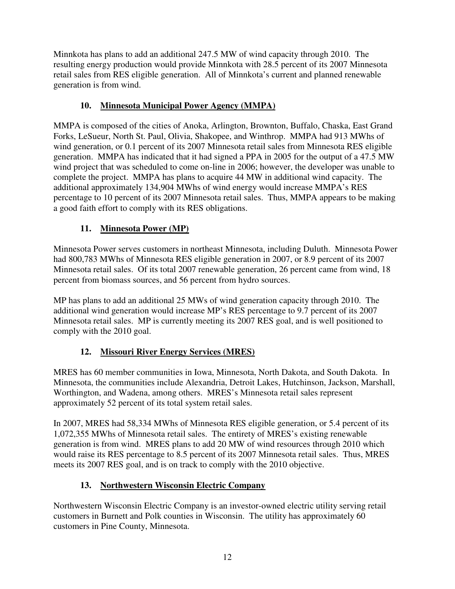Minnkota has plans to add an additional 247.5 MW of wind capacity through 2010. The resulting energy production would provide Minnkota with 28.5 percent of its 2007 Minnesota retail sales from RES eligible generation. All of Minnkota's current and planned renewable generation is from wind.

## **10. Minnesota Municipal Power Agency (MMPA)**

MMPA is composed of the cities of Anoka, Arlington, Brownton, Buffalo, Chaska, East Grand Forks, LeSueur, North St. Paul, Olivia, Shakopee, and Winthrop. MMPA had 913 MWhs of wind generation, or 0.1 percent of its 2007 Minnesota retail sales from Minnesota RES eligible generation. MMPA has indicated that it had signed a PPA in 2005 for the output of a 47.5 MW wind project that was scheduled to come on-line in 2006; however, the developer was unable to complete the project. MMPA has plans to acquire 44 MW in additional wind capacity. The additional approximately 134,904 MWhs of wind energy would increase MMPA's RES percentage to 10 percent of its 2007 Minnesota retail sales. Thus, MMPA appears to be making a good faith effort to comply with its RES obligations.

# **11. Minnesota Power (MP)**

Minnesota Power serves customers in northeast Minnesota, including Duluth. Minnesota Power had 800,783 MWhs of Minnesota RES eligible generation in 2007, or 8.9 percent of its 2007 Minnesota retail sales. Of its total 2007 renewable generation, 26 percent came from wind, 18 percent from biomass sources, and 56 percent from hydro sources.

MP has plans to add an additional 25 MWs of wind generation capacity through 2010. The additional wind generation would increase MP's RES percentage to 9.7 percent of its 2007 Minnesota retail sales. MP is currently meeting its 2007 RES goal, and is well positioned to comply with the 2010 goal.

# **12. Missouri River Energy Services (MRES)**

MRES has 60 member communities in Iowa, Minnesota, North Dakota, and South Dakota. In Minnesota, the communities include Alexandria, Detroit Lakes, Hutchinson, Jackson, Marshall, Worthington, and Wadena, among others. MRES's Minnesota retail sales represent approximately 52 percent of its total system retail sales.

In 2007, MRES had 58,334 MWhs of Minnesota RES eligible generation, or 5.4 percent of its 1,072,355 MWhs of Minnesota retail sales. The entirety of MRES's existing renewable generation is from wind. MRES plans to add 20 MW of wind resources through 2010 which would raise its RES percentage to 8.5 percent of its 2007 Minnesota retail sales. Thus, MRES meets its 2007 RES goal, and is on track to comply with the 2010 objective.

## **13. Northwestern Wisconsin Electric Company**

Northwestern Wisconsin Electric Company is an investor-owned electric utility serving retail customers in Burnett and Polk counties in Wisconsin. The utility has approximately 60 customers in Pine County, Minnesota.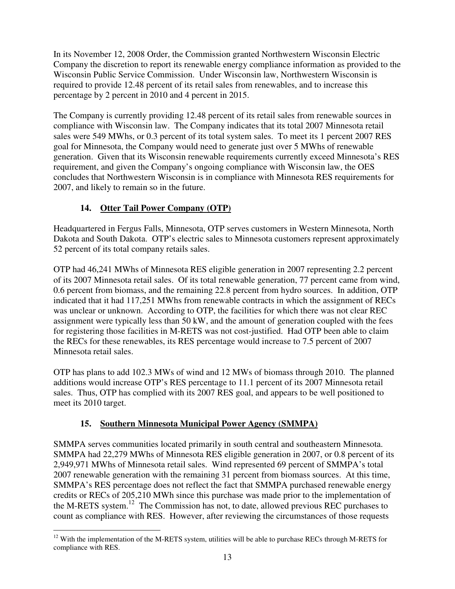In its November 12, 2008 Order, the Commission granted Northwestern Wisconsin Electric Company the discretion to report its renewable energy compliance information as provided to the Wisconsin Public Service Commission. Under Wisconsin law, Northwestern Wisconsin is required to provide 12.48 percent of its retail sales from renewables, and to increase this percentage by 2 percent in 2010 and 4 percent in 2015.

The Company is currently providing 12.48 percent of its retail sales from renewable sources in compliance with Wisconsin law. The Company indicates that its total 2007 Minnesota retail sales were 549 MWhs, or 0.3 percent of its total system sales. To meet its 1 percent 2007 RES goal for Minnesota, the Company would need to generate just over 5 MWhs of renewable generation. Given that its Wisconsin renewable requirements currently exceed Minnesota's RES requirement, and given the Company's ongoing compliance with Wisconsin law, the OES concludes that Northwestern Wisconsin is in compliance with Minnesota RES requirements for 2007, and likely to remain so in the future.

# **14. Otter Tail Power Company (OTP)**

Headquartered in Fergus Falls, Minnesota, OTP serves customers in Western Minnesota, North Dakota and South Dakota. OTP's electric sales to Minnesota customers represent approximately 52 percent of its total company retails sales.

OTP had 46,241 MWhs of Minnesota RES eligible generation in 2007 representing 2.2 percent of its 2007 Minnesota retail sales. Of its total renewable generation, 77 percent came from wind, 0.6 percent from biomass, and the remaining 22.8 percent from hydro sources. In addition, OTP indicated that it had 117,251 MWhs from renewable contracts in which the assignment of RECs was unclear or unknown. According to OTP, the facilities for which there was not clear REC assignment were typically less than 50 kW, and the amount of generation coupled with the fees for registering those facilities in M-RETS was not cost-justified. Had OTP been able to claim the RECs for these renewables, its RES percentage would increase to 7.5 percent of 2007 Minnesota retail sales.

OTP has plans to add 102.3 MWs of wind and 12 MWs of biomass through 2010. The planned additions would increase OTP's RES percentage to 11.1 percent of its 2007 Minnesota retail sales. Thus, OTP has complied with its 2007 RES goal, and appears to be well positioned to meet its 2010 target.

# **15. Southern Minnesota Municipal Power Agency (SMMPA)**

 $\overline{a}$ 

SMMPA serves communities located primarily in south central and southeastern Minnesota. SMMPA had 22,279 MWhs of Minnesota RES eligible generation in 2007, or 0.8 percent of its 2,949,971 MWhs of Minnesota retail sales. Wind represented 69 percent of SMMPA's total 2007 renewable generation with the remaining 31 percent from biomass sources. At this time, SMMPA's RES percentage does not reflect the fact that SMMPA purchased renewable energy credits or RECs of 205,210 MWh since this purchase was made prior to the implementation of the M-RETS system.<sup>12</sup> The Commission has not, to date, allowed previous REC purchases to count as compliance with RES. However, after reviewing the circumstances of those requests

<sup>&</sup>lt;sup>12</sup> With the implementation of the M-RETS system, utilities will be able to purchase RECs through M-RETS for compliance with RES.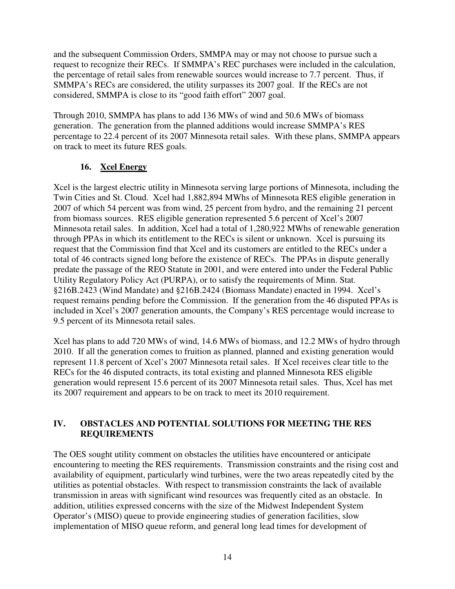and the subsequent Commission Orders, SMMPA may or may not choose to pursue such a request to recognize their RECs. If SMMPA's REC purchases were included in the calculation, the percentage of retail sales from renewable sources would increase to 7.7 percent. Thus, if SMMPA's RECs are considered, the utility surpasses its 2007 goal. If the RECs are not considered, SMMPA is close to its "good faith effort" 2007 goal.

Through 2010, SMMPA has plans to add 136 MWs of wind and 50.6 MWs of biomass generation. The generation from the planned additions would increase SMMPA's RES percentage to 22.4 percent of its 2007 Minnesota retail sales. With these plans, SMMPA appears on track to meet its future RES goals.

## **16. Xcel Energy**

Xcel is the largest electric utility in Minnesota serving large portions of Minnesota, including the Twin Cities and St. Cloud. Xcel had 1,882,894 MWhs of Minnesota RES eligible generation in 2007 of which 54 percent was from wind, 25 percent from hydro, and the remaining 21 percent from biomass sources. RES eligible generation represented 5.6 percent of Xcel's 2007 Minnesota retail sales. In addition, Xcel had a total of 1,280,922 MWhs of renewable generation through PPAs in which its entitlement to the RECs is silent or unknown. Xcel is pursuing its request that the Commission find that Xcel and its customers are entitled to the RECs under a total of 46 contracts signed long before the existence of RECs. The PPAs in dispute generally predate the passage of the REO Statute in 2001, and were entered into under the Federal Public Utility Regulatory Policy Act (PURPA), or to satisfy the requirements of Minn. Stat. §216B.2423 (Wind Mandate) and §216B.2424 (Biomass Mandate) enacted in 1994. Xcel's request remains pending before the Commission. If the generation from the 46 disputed PPAs is included in Xcel's 2007 generation amounts, the Company's RES percentage would increase to 9.5 percent of its Minnesota retail sales.

Xcel has plans to add 720 MWs of wind, 14.6 MWs of biomass, and 12.2 MWs of hydro through 2010. If all the generation comes to fruition as planned, planned and existing generation would represent 11.8 percent of Xcel's 2007 Minnesota retail sales. If Xcel receives clear title to the RECs for the 46 disputed contracts, its total existing and planned Minnesota RES eligible generation would represent 15.6 percent of its 2007 Minnesota retail sales. Thus, Xcel has met its 2007 requirement and appears to be on track to meet its 2010 requirement.

### **IV. OBSTACLES AND POTENTIAL SOLUTIONS FOR MEETING THE RES REQUIREMENTS**

The OES sought utility comment on obstacles the utilities have encountered or anticipate encountering to meeting the RES requirements. Transmission constraints and the rising cost and availability of equipment, particularly wind turbines, were the two areas repeatedly cited by the utilities as potential obstacles. With respect to transmission constraints the lack of available transmission in areas with significant wind resources was frequently cited as an obstacle. In addition, utilities expressed concerns with the size of the Midwest Independent System Operator's (MISO) queue to provide engineering studies of generation facilities, slow implementation of MISO queue reform, and general long lead times for development of